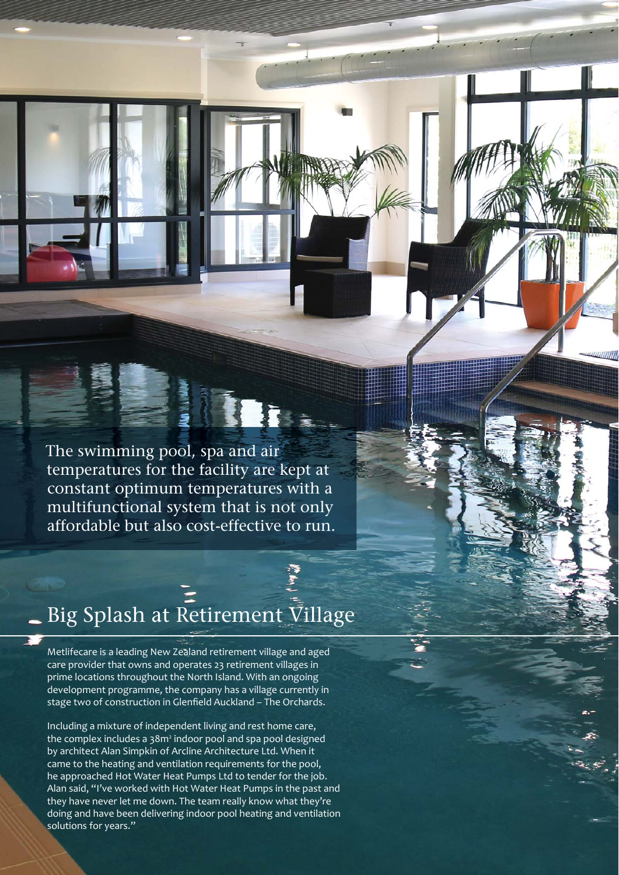The swimming pool, spa and air temperatures for the facility are kept at constant optimum temperatures with a multifunctional system that is not only affordable but also cost-effective to run.

# Big Splash at Retirement Village

Metlifecare is a leading New Zealand retirement village and aged care provider that owns and operates 23 retirement villages in prime locations throughout the North Island. With an ongoing development programme, the company has a village currently in stage two of construction in Glenfield Auckland - The Orchards.

Including a mixture of independent living and rest home care, the complex includes a 38m<sup>2</sup> indoor pool and spa pool designed by architect Alan Simpkin of Arcline Architecture Ltd. When it came to the heating and ventilation requirements for the pool, he approached Hot Water Heat Pumps Ltd to tender for the job. Alan said, "I've worked with Hot Water Heat Pumps in the past and they have never let me down. The team really know what they're doing and have been delivering indoor pool heating and ventilation solutions for years."